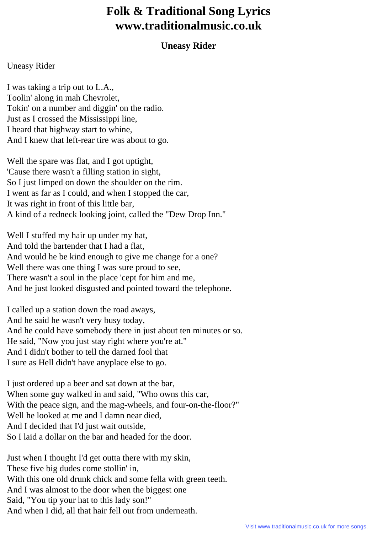## **Folk & Traditional Song Lyrics www.traditionalmusic.co.uk**

## **Uneasy Rider**

## Uneasy Rider

I was taking a trip out to L.A., Toolin' along in mah Chevrolet, Tokin' on a number and diggin' on the radio. Just as I crossed the Mississippi line, I heard that highway start to whine, And I knew that left-rear tire was about to go.

Well the spare was flat, and I got uptight, 'Cause there wasn't a filling station in sight, So I just limped on down the shoulder on the rim. I went as far as I could, and when I stopped the car, It was right in front of this little bar, A kind of a redneck looking joint, called the "Dew Drop Inn."

Well I stuffed my hair up under my hat, And told the bartender that I had a flat, And would he be kind enough to give me change for a one? Well there was one thing I was sure proud to see, There wasn't a soul in the place 'cept for him and me, And he just looked disgusted and pointed toward the telephone.

I called up a station down the road aways, And he said he wasn't very busy today, And he could have somebody there in just about ten minutes or so. He said, "Now you just stay right where you're at." And I didn't bother to tell the darned fool that I sure as Hell didn't have anyplace else to go.

I just ordered up a beer and sat down at the bar, When some guy walked in and said, "Who owns this car, With the peace sign, and the mag-wheels, and four-on-the-floor?" Well he looked at me and I damn near died, And I decided that I'd just wait outside, So I laid a dollar on the bar and headed for the door.

Just when I thought I'd get outta there with my skin, These five big dudes come stollin' in, With this one old drunk chick and some fella with green teeth. And I was almost to the door when the biggest one Said, "You tip your hat to this lady son!" And when I did, all that hair fell out from underneath.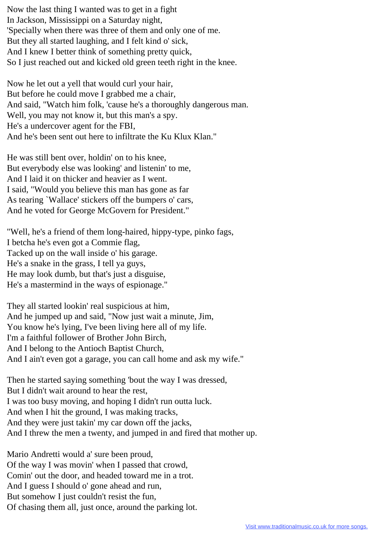Now the last thing I wanted was to get in a fight In Jackson, Mississippi on a Saturday night, 'Specially when there was three of them and only one of me. But they all started laughing, and I felt kind o' sick, And I knew I better think of something pretty quick, So I just reached out and kicked old green teeth right in the knee.

Now he let out a yell that would curl your hair, But before he could move I grabbed me a chair, And said, "Watch him folk, 'cause he's a thoroughly dangerous man. Well, you may not know it, but this man's a spy. He's a undercover agent for the FBI, And he's been sent out here to infiltrate the Ku Klux Klan."

He was still bent over, holdin' on to his knee, But everybody else was looking' and listenin' to me, And I laid it on thicker and heavier as I went. I said, "Would you believe this man has gone as far As tearing `Wallace' stickers off the bumpers o' cars, And he voted for George McGovern for President."

"Well, he's a friend of them long-haired, hippy-type, pinko fags, I betcha he's even got a Commie flag, Tacked up on the wall inside o' his garage. He's a snake in the grass, I tell ya guys, He may look dumb, but that's just a disguise, He's a mastermind in the ways of espionage."

They all started lookin' real suspicious at him, And he jumped up and said, "Now just wait a minute, Jim, You know he's lying, I've been living here all of my life. I'm a faithful follower of Brother John Birch, And I belong to the Antioch Baptist Church, And I ain't even got a garage, you can call home and ask my wife."

Then he started saying something 'bout the way I was dressed, But I didn't wait around to hear the rest, I was too busy moving, and hoping I didn't run outta luck. And when I hit the ground, I was making tracks, And they were just takin' my car down off the jacks, And I threw the men a twenty, and jumped in and fired that mother up.

Mario Andretti would a' sure been proud, Of the way I was movin' when I passed that crowd, Comin' out the door, and headed toward me in a trot. And I guess I should o' gone ahead and run, But somehow I just couldn't resist the fun, Of chasing them all, just once, around the parking lot.